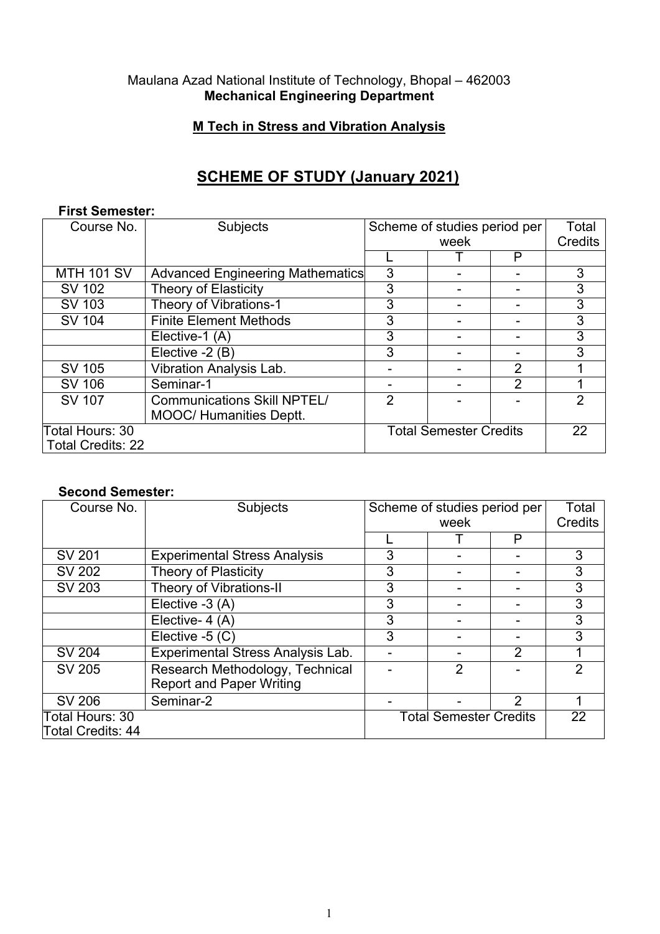## Maulana Azad National Institute of Technology, Bhopal – 462003 **Mechanical Engineering Department**

## **M Tech in Stress and Vibration Analysis**

# **SCHEME OF STUDY (January 2021)**

#### **First Semester:**

| Course No.               | Subjects                                | Scheme of studies period per  |  |         | Total |
|--------------------------|-----------------------------------------|-------------------------------|--|---------|-------|
|                          |                                         | week                          |  | Credits |       |
|                          |                                         |                               |  | P       |       |
| <b>MTH 101 SV</b>        | <b>Advanced Engineering Mathematics</b> | 3                             |  |         | 3     |
| <b>SV 102</b>            | <b>Theory of Elasticity</b>             | 3                             |  |         | 3     |
| <b>SV 103</b>            | Theory of Vibrations-1                  | 3                             |  |         | 3     |
| <b>SV 104</b>            | <b>Finite Element Methods</b>           | 3                             |  |         | 3     |
|                          | Elective-1 (A)                          | 3                             |  |         | 3     |
|                          | Elective -2 (B)                         | 3                             |  |         | 3     |
| SV 105                   | <b>Vibration Analysis Lab.</b>          |                               |  | 2       |       |
| SV 106                   | Seminar-1                               |                               |  | 2       |       |
| SV 107                   | <b>Communications Skill NPTEL/</b>      | $\overline{2}$                |  |         | 2     |
|                          | <b>MOOC/ Humanities Deptt.</b>          |                               |  |         |       |
| Total Hours: 30          |                                         | <b>Total Semester Credits</b> |  |         | 22    |
| <b>Total Credits: 22</b> |                                         |                               |  |         |       |

#### **Second Semester:**

| Course No.               | <b>Subjects</b>                     | Scheme of studies period per  |                | Total          |    |
|--------------------------|-------------------------------------|-------------------------------|----------------|----------------|----|
|                          |                                     | week                          |                | <b>Credits</b> |    |
|                          |                                     |                               |                | P              |    |
| SV 201                   | <b>Experimental Stress Analysis</b> | 3                             |                |                | 3  |
| <b>SV 202</b>            | <b>Theory of Plasticity</b>         | 3                             |                |                | 3  |
| <b>SV 203</b>            | Theory of Vibrations-II             | 3                             |                |                | 3  |
|                          | Elective -3 (A)                     | 3                             |                |                | 3  |
|                          | Elective- 4 (A)                     | 3                             |                |                | 3  |
|                          | Elective -5 (C)                     | 3                             |                |                | 3  |
| SV 204                   | Experimental Stress Analysis Lab.   |                               |                | 2              |    |
| SV 205                   | Research Methodology, Technical     |                               | $\overline{2}$ |                | 2  |
|                          | <b>Report and Paper Writing</b>     |                               |                |                |    |
| <b>SV 206</b>            | Seminar-2                           |                               |                | $\overline{2}$ |    |
| Total Hours: 30          |                                     | <b>Total Semester Credits</b> |                |                | 22 |
| <b>Total Credits: 44</b> |                                     |                               |                |                |    |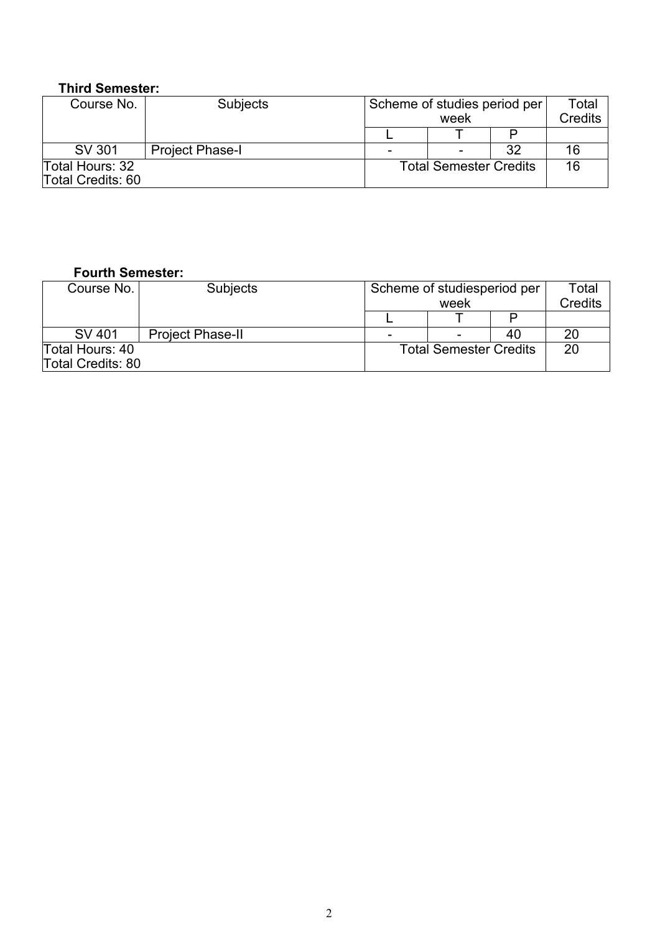# **Third Semester:**

| Course No.        | Subjects               | Scheme of studies period per  |  |         | Total |
|-------------------|------------------------|-------------------------------|--|---------|-------|
|                   |                        | week                          |  | Credits |       |
|                   |                        |                               |  |         |       |
| SV 301            | <b>Project Phase-I</b> |                               |  | 32      | 16    |
| Total Hours: 32   |                        | <b>Total Semester Credits</b> |  |         | 16    |
| Total Credits: 60 |                        |                               |  |         |       |

#### **Fourth Semester:**

| Course No.        | <b>Subjects</b>         |  | Scheme of studiesperiod per   |    |         |  |
|-------------------|-------------------------|--|-------------------------------|----|---------|--|
|                   |                         |  | week                          |    | Credits |  |
|                   |                         |  |                               |    |         |  |
| SV 401            | <b>Project Phase-II</b> |  |                               | 40 | 20      |  |
| Total Hours: 40   |                         |  | <b>Total Semester Credits</b> |    |         |  |
| Total Credits: 80 |                         |  |                               |    |         |  |